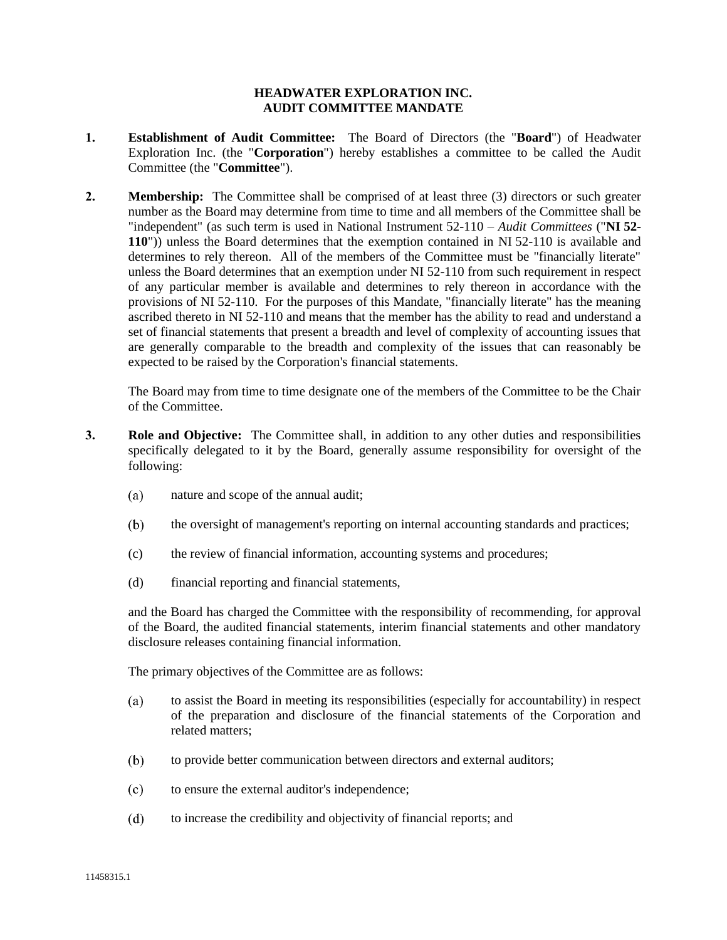## **HEADWATER EXPLORATION INC. AUDIT COMMITTEE MANDATE**

- **1. Establishment of Audit Committee:** The Board of Directors (the "**Board**") of Headwater Exploration Inc. (the "**Corporation**") hereby establishes a committee to be called the Audit Committee (the "**Committee**").
- **2. Membership:** The Committee shall be comprised of at least three (3) directors or such greater number as the Board may determine from time to time and all members of the Committee shall be "independent" (as such term is used in National Instrument 52-110 – *Audit Committees* ("**NI 52- 110**")) unless the Board determines that the exemption contained in NI 52-110 is available and determines to rely thereon. All of the members of the Committee must be "financially literate" unless the Board determines that an exemption under NI 52-110 from such requirement in respect of any particular member is available and determines to rely thereon in accordance with the provisions of NI 52-110. For the purposes of this Mandate, "financially literate" has the meaning ascribed thereto in NI 52-110 and means that the member has the ability to read and understand a set of financial statements that present a breadth and level of complexity of accounting issues that are generally comparable to the breadth and complexity of the issues that can reasonably be expected to be raised by the Corporation's financial statements.

The Board may from time to time designate one of the members of the Committee to be the Chair of the Committee.

- **3. Role and Objective:** The Committee shall, in addition to any other duties and responsibilities specifically delegated to it by the Board, generally assume responsibility for oversight of the following:
	- $(a)$ nature and scope of the annual audit;
	- $(b)$ the oversight of management's reporting on internal accounting standards and practices;
	- (c) the review of financial information, accounting systems and procedures;
	- (d) financial reporting and financial statements,

and the Board has charged the Committee with the responsibility of recommending, for approval of the Board, the audited financial statements, interim financial statements and other mandatory disclosure releases containing financial information.

The primary objectives of the Committee are as follows:

- $(a)$ to assist the Board in meeting its responsibilities (especially for accountability) in respect of the preparation and disclosure of the financial statements of the Corporation and related matters;
- to provide better communication between directors and external auditors;  $(b)$
- $(c)$ to ensure the external auditor's independence;
- $(d)$ to increase the credibility and objectivity of financial reports; and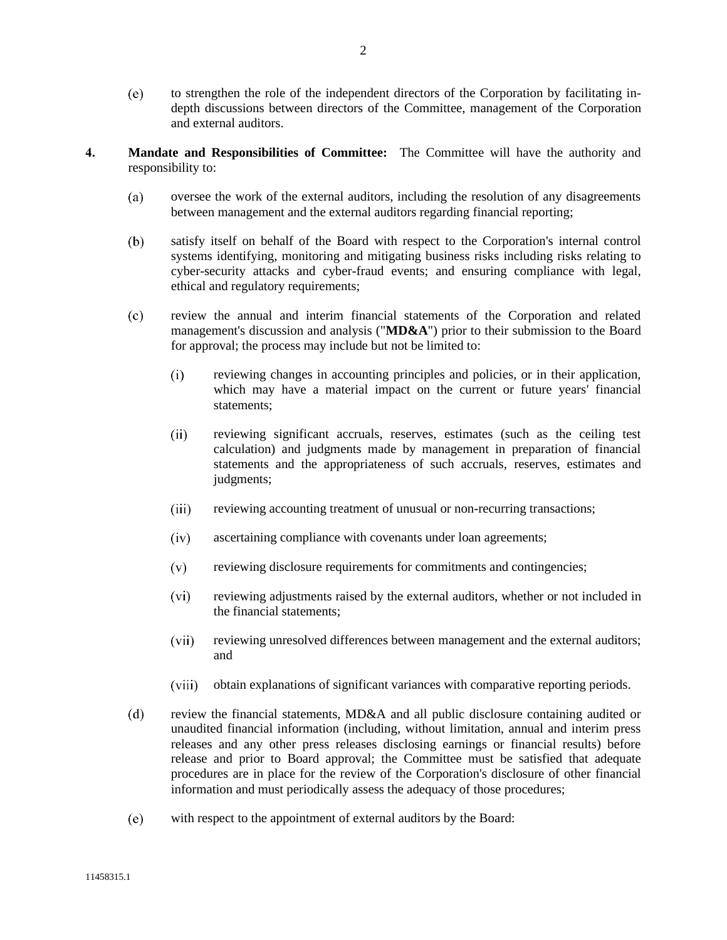- $(e)$ to strengthen the role of the independent directors of the Corporation by facilitating indepth discussions between directors of the Committee, management of the Corporation and external auditors.
- **4. Mandate and Responsibilities of Committee:** The Committee will have the authority and responsibility to:
	- oversee the work of the external auditors, including the resolution of any disagreements  $(a)$ between management and the external auditors regarding financial reporting;
	- $(b)$ satisfy itself on behalf of the Board with respect to the Corporation's internal control systems identifying, monitoring and mitigating business risks including risks relating to cyber-security attacks and cyber-fraud events; and ensuring compliance with legal, ethical and regulatory requirements;
	- $(c)$ review the annual and interim financial statements of the Corporation and related management's discussion and analysis ("**MD&A**") prior to their submission to the Board for approval; the process may include but not be limited to:
		- $(i)$ reviewing changes in accounting principles and policies, or in their application, which may have a material impact on the current or future years' financial statements;
		- $(ii)$ reviewing significant accruals, reserves, estimates (such as the ceiling test calculation) and judgments made by management in preparation of financial statements and the appropriateness of such accruals, reserves, estimates and judgments;
		- $(iii)$ reviewing accounting treatment of unusual or non-recurring transactions;
		- $(iv)$ ascertaining compliance with covenants under loan agreements;
		- $(v)$ reviewing disclosure requirements for commitments and contingencies;
		- $(vi)$ reviewing adjustments raised by the external auditors, whether or not included in the financial statements;
		- $(vii)$ reviewing unresolved differences between management and the external auditors; and
		- $(viii)$ obtain explanations of significant variances with comparative reporting periods.
	- $(d)$ review the financial statements, MD&A and all public disclosure containing audited or unaudited financial information (including, without limitation, annual and interim press releases and any other press releases disclosing earnings or financial results) before release and prior to Board approval; the Committee must be satisfied that adequate procedures are in place for the review of the Corporation's disclosure of other financial information and must periodically assess the adequacy of those procedures;
	- $(e)$ with respect to the appointment of external auditors by the Board: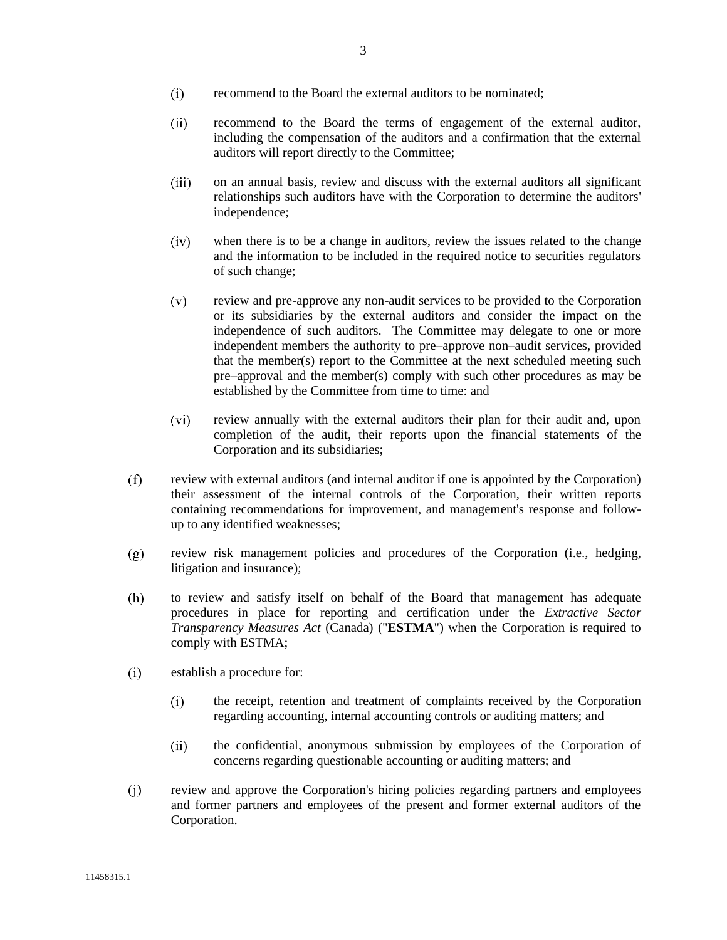- $(ii)$ recommend to the Board the terms of engagement of the external auditor, including the compensation of the auditors and a confirmation that the external auditors will report directly to the Committee;
- $(iii)$ on an annual basis, review and discuss with the external auditors all significant relationships such auditors have with the Corporation to determine the auditors' independence;
- $(iv)$ when there is to be a change in auditors, review the issues related to the change and the information to be included in the required notice to securities regulators of such change;
- $(v)$ review and pre-approve any non-audit services to be provided to the Corporation or its subsidiaries by the external auditors and consider the impact on the independence of such auditors. The Committee may delegate to one or more independent members the authority to pre–approve non–audit services, provided that the member(s) report to the Committee at the next scheduled meeting such pre–approval and the member(s) comply with such other procedures as may be established by the Committee from time to time: and
- $(vi)$ review annually with the external auditors their plan for their audit and, upon completion of the audit, their reports upon the financial statements of the Corporation and its subsidiaries;
- $(f)$ review with external auditors (and internal auditor if one is appointed by the Corporation) their assessment of the internal controls of the Corporation, their written reports containing recommendations for improvement, and management's response and followup to any identified weaknesses;
- review risk management policies and procedures of the Corporation (i.e., hedging,  $(g)$ litigation and insurance);
- $(h)$ to review and satisfy itself on behalf of the Board that management has adequate procedures in place for reporting and certification under the *Extractive Sector Transparency Measures Act* (Canada) ("**ESTMA**") when the Corporation is required to comply with ESTMA;
- $(i)$ establish a procedure for:
	- $(i)$ the receipt, retention and treatment of complaints received by the Corporation regarding accounting, internal accounting controls or auditing matters; and
	- $(ii)$ the confidential, anonymous submission by employees of the Corporation of concerns regarding questionable accounting or auditing matters; and
- review and approve the Corporation's hiring policies regarding partners and employees  $(i)$ and former partners and employees of the present and former external auditors of the Corporation.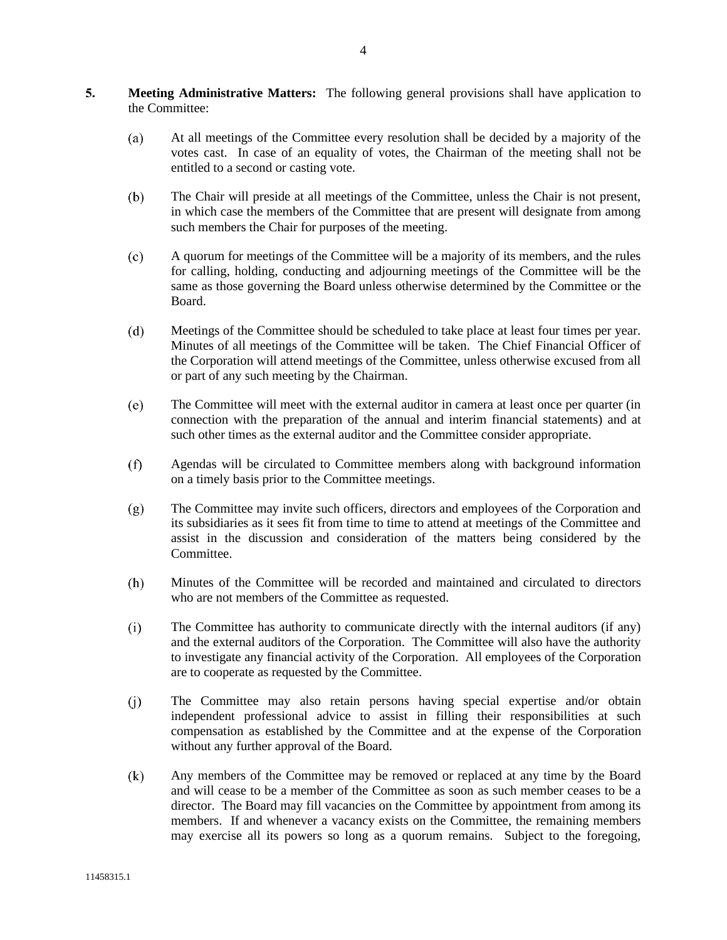- **5. Meeting Administrative Matters:** The following general provisions shall have application to the Committee:
	- $(a)$ At all meetings of the Committee every resolution shall be decided by a majority of the votes cast. In case of an equality of votes, the Chairman of the meeting shall not be entitled to a second or casting vote.
	- $(b)$ The Chair will preside at all meetings of the Committee, unless the Chair is not present, in which case the members of the Committee that are present will designate from among such members the Chair for purposes of the meeting.
	- $(c)$ A quorum for meetings of the Committee will be a majority of its members, and the rules for calling, holding, conducting and adjourning meetings of the Committee will be the same as those governing the Board unless otherwise determined by the Committee or the Board.
	- $(d)$ Meetings of the Committee should be scheduled to take place at least four times per year. Minutes of all meetings of the Committee will be taken. The Chief Financial Officer of the Corporation will attend meetings of the Committee, unless otherwise excused from all or part of any such meeting by the Chairman.
	- $(e)$ The Committee will meet with the external auditor in camera at least once per quarter (in connection with the preparation of the annual and interim financial statements) and at such other times as the external auditor and the Committee consider appropriate.
	- $(f)$ Agendas will be circulated to Committee members along with background information on a timely basis prior to the Committee meetings.
	- $(g)$ The Committee may invite such officers, directors and employees of the Corporation and its subsidiaries as it sees fit from time to time to attend at meetings of the Committee and assist in the discussion and consideration of the matters being considered by the Committee.
	- $(h)$ Minutes of the Committee will be recorded and maintained and circulated to directors who are not members of the Committee as requested.
	- $(i)$ The Committee has authority to communicate directly with the internal auditors (if any) and the external auditors of the Corporation. The Committee will also have the authority to investigate any financial activity of the Corporation. All employees of the Corporation are to cooperate as requested by the Committee.
	- $(i)$ The Committee may also retain persons having special expertise and/or obtain independent professional advice to assist in filling their responsibilities at such compensation as established by the Committee and at the expense of the Corporation without any further approval of the Board.
	- $(k)$ Any members of the Committee may be removed or replaced at any time by the Board and will cease to be a member of the Committee as soon as such member ceases to be a director. The Board may fill vacancies on the Committee by appointment from among its members. If and whenever a vacancy exists on the Committee, the remaining members may exercise all its powers so long as a quorum remains. Subject to the foregoing,